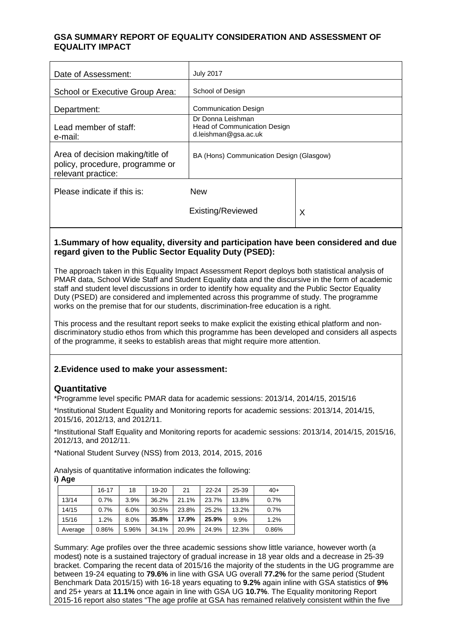## **GSA SUMMARY REPORT OF EQUALITY CONSIDERATION AND ASSESSMENT OF EQUALITY IMPACT**

| Date of Assessment:                                                                       | <b>July 2017</b>                                                          |   |  |
|-------------------------------------------------------------------------------------------|---------------------------------------------------------------------------|---|--|
| School or Executive Group Area:                                                           | School of Design                                                          |   |  |
| Department:                                                                               | <b>Communication Design</b>                                               |   |  |
| Lead member of staff:<br>e-mail:                                                          | Dr Donna Leishman<br>Head of Communication Design<br>d.leishman@gsa.ac.uk |   |  |
| Area of decision making/title of<br>policy, procedure, programme or<br>relevant practice: | BA (Hons) Communication Design (Glasgow)                                  |   |  |
| Please indicate if this is:                                                               | <b>New</b>                                                                |   |  |
|                                                                                           | Existing/Reviewed                                                         | X |  |

## **1.Summary of how equality, diversity and participation have been considered and due regard given to the Public Sector Equality Duty (PSED):**

The approach taken in this Equality Impact Assessment Report deploys both statistical analysis of PMAR data, School Wide Staff and Student Equality data and the discursive in the form of academic staff and student level discussions in order to identify how equality and the Public Sector Equality Duty (PSED) are considered and implemented across this programme of study. The programme works on the premise that for our students, discrimination-free education is a right.

This process and the resultant report seeks to make explicit the existing ethical platform and nondiscriminatory studio ethos from which this programme has been developed and considers all aspects of the programme, it seeks to establish areas that might require more attention.

#### **2.Evidence used to make your assessment:**

#### **Quantitative**

\*Programme level specific PMAR data for academic sessions: 2013/14, 2014/15, 2015/16

\*Institutional Student Equality and Monitoring reports for academic sessions: 2013/14, 2014/15, 2015/16, 2012/13, and 2012/11.

\*Institutional Staff Equality and Monitoring reports for academic sessions: 2013/14, 2014/15, 2015/16, 2012/13, and 2012/11.

\*National Student Survey (NSS) from 2013, 2014, 2015, 2016

Analysis of quantitative information indicates the following:

**i) Age**

|         | $16 - 17$ | 18    | $19 - 20$ | 21    | $22 - 24$ | 25-39 | $40+$ |
|---------|-----------|-------|-----------|-------|-----------|-------|-------|
| 13/14   | 0.7%      | 3.9%  | 36.2%     | 21.1% | 23.7%     | 13.8% | 0.7%  |
| 14/15   | 0.7%      | 6.0%  | 30.5%     | 23.8% | 25.2%     | 13.2% | 0.7%  |
| 15/16   | 1.2%      | 8.0%  | 35.8%     | 17.9% | 25.9%     | 9.9%  | 1.2%  |
| Average | 0.86%     | 5.96% | 34.1%     | 20.9% | 24.9%     | 12.3% | 0.86% |

Summary: Age profiles over the three academic sessions show little variance, however worth (a modest) note is a sustained trajectory of gradual increase in 18 year olds and a decrease in 25-39 bracket. Comparing the recent data of 2015/16 the majority of the students in the UG programme are between 19-24 equating to **79.6%** in line with GSA UG overall **77.2%** for the same period (Student Benchmark Data 2015/15) with 16-18 years equating to **9.2%** again inline with GSA statistics of **9%** and 25+ years at **11.1%** once again in line with GSA UG **10.7%**. The Equality monitoring Report 2015-16 report also states "The age profile at GSA has remained relatively consistent within the five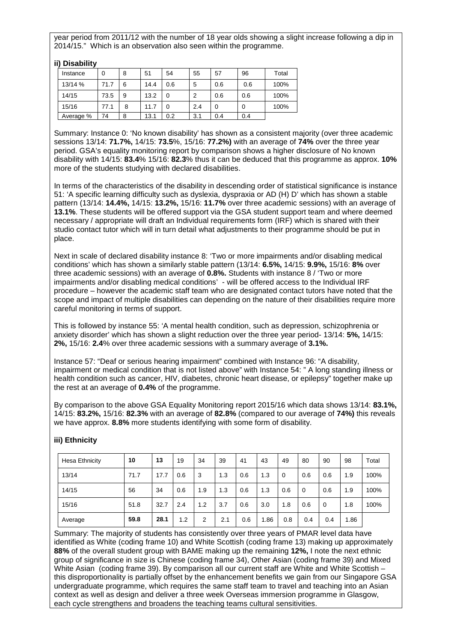year period from 2011/12 with the number of 18 year olds showing a slight increase following a dip in 2014/15." Which is an observation also seen within the programme.

| II) DISADIIITY |      |   |      |     |     |          |     |       |
|----------------|------|---|------|-----|-----|----------|-----|-------|
| Instance       | 0    | 8 | 51   | 54  | 55  | 57       | 96  | Total |
| 13/14 %        | 71.7 | 6 | 14.4 | 0.6 | 5   | 0.6      | 0.6 | 100%  |
| 14/15          | 73.5 | 9 | 13.2 | 0   | 2   | 0.6      | 0.6 | 100%  |
| 15/16          | 77.1 | 8 | 11.7 | 0   | 2.4 | $\Omega$ | 0   | 100%  |
| Average %      | 74   | 8 | 13.1 | 0.2 | 3.1 | 0.4      | 0.4 |       |

Summary: Instance 0: 'No known disability' has shown as a consistent majority (over three academic sessions 13/14: **71.7%,** 14/15: **73.5**%, 15/16: **77.2%)** with an average of **74%** over the three year period. GSA's equality monitoring report by comparison shows a higher disclosure of No known disability with 14/15: **83.4**% 15/16: **82.3**% thus it can be deduced that this programme as approx. **10%** more of the students studying with declared disabilities.

In terms of the characteristics of the disability in descending order of statistical significance is instance 51: 'A specific learning difficulty such as dyslexia, dyspraxia or AD (H) D' which has shown a stable pattern (13/14: **14.4%,** 14/15: **13.2%,** 15/16: **11.7%** over three academic sessions) with an average of **13.1%**. These students will be offered support via the GSA student support team and where deemed necessary / appropriate will draft an Individual requirements form (IRF) which is shared with their studio contact tutor which will in turn detail what adjustments to their programme should be put in place.

Next in scale of declared disability instance 8: 'Two or more impairments and/or disabling medical conditions' which has shown a similarly stable pattern (13/14: **6.5%,** 14/15: **9.9%,** 15/16: **8%** over three academic sessions) with an average of **0.8%.** Students with instance 8 / 'Two or more impairments and/or disabling medical conditions' - will be offered access to the Individual IRF procedure – however the academic staff team who are designated contact tutors have noted that the scope and impact of multiple disabilities can depending on the nature of their disabilities require more careful monitoring in terms of support.

This is followed by instance 55: 'A mental health condition, such as depression, schizophrenia or anxiety disorder' which has shown a slight reduction over the three year period- 13/14: **5%,** 14/15: **2%,** 15/16: **2.4**% over three academic sessions with a summary average of **3.1%.**

Instance 57: "Deaf or serious hearing impairment" combined with Instance 96: "A disability, impairment or medical condition that is not listed above" with Instance 54: " A long standing illness or health condition such as cancer, HIV, diabetes, chronic heart disease, or epilepsy" together make up the rest at an average of **0.4%** of the programme.

By comparison to the above GSA Equality Monitoring report 2015/16 which data shows 13/14: **83.1%,** 14/15: **83.2%,** 15/16: **82.3%** with an average of **82.8%** (compared to our average of **74%)** this reveals we have approx. **8.8%** more students identifying with some form of disability.

| Hesa Ethnicity | 10   | 13   | 19  | 34  | 39  | 41  | 43   | 49       | 80  | 90  | 98   | Total |
|----------------|------|------|-----|-----|-----|-----|------|----------|-----|-----|------|-------|
| 13/14          | 71.7 | 17.7 | 0.6 | 3   | 1.3 | 0.6 | 1.3  | $\Omega$ | 0.6 | 0.6 | 1.9  | 100%  |
| 14/15          | 56   | 34   | 0.6 | 1.9 | 1.3 | 0.6 | 1.3  | 0.6      | 0   | 0.6 | 1.9  | 100%  |
| 15/16          | 51.8 | 32.7 | 2.4 | 1.2 | 3.7 | 0.6 | 3.0  | 1.8      | 0.6 | 0   | 1.8  | 100%  |
| Average        | 59.8 | 28.1 | 1.2 | 2   | 2.1 | 0.6 | 1.86 | 0.8      | 0.4 | 0.4 | 1.86 |       |

# **iii) Ethnicity**

**iii)** Disability **in** 

Summary: The majority of students has consistently over three years of PMAR level data have identified as White (coding frame 10) and White Scottish (coding frame 13) making up approximately **88%** of the overall student group with BAME making up the remaining **12%,** I note the next ethnic group of significance in size is Chinese (coding frame 34), Other Asian (coding frame 39) and Mixed White Asian (coding frame 39). By comparison all our current staff are White and White Scottish this disproportionality is partially offset by the enhancement benefits we gain from our Singapore GSA undergraduate programme, which requires the same staff team to travel and teaching into an Asian context as well as design and deliver a three week Overseas immersion programme in Glasgow, each cycle strengthens and broadens the teaching teams cultural sensitivities.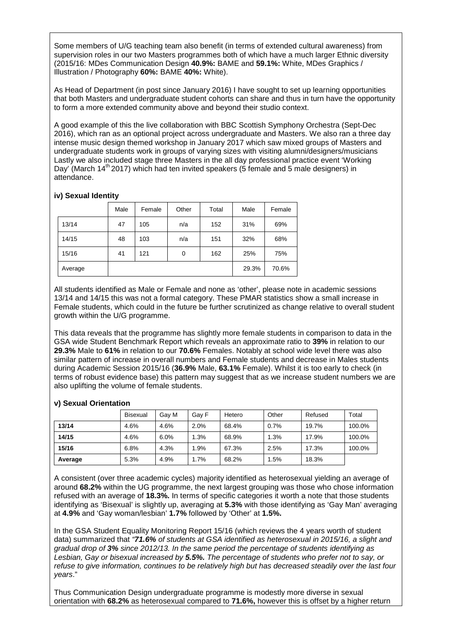Some members of U/G teaching team also benefit (in terms of extended cultural awareness) from supervision roles in our two Masters programmes both of which have a much larger Ethnic diversity (2015/16: MDes Communication Design **40.9%:** BAME and **59.1%:** White, MDes Graphics / Illustration / Photography **60%:** BAME **40%:** White).

As Head of Department (in post since January 2016) I have sought to set up learning opportunities that both Masters and undergraduate student cohorts can share and thus in turn have the opportunity to form a more extended community above and beyond their studio context.

A good example of this the live collaboration with BBC Scottish Symphony Orchestra (Sept-Dec 2016), which ran as an optional project across undergraduate and Masters. We also ran a three day intense music design themed workshop in January 2017 which saw mixed groups of Masters and undergraduate students work in groups of varying sizes with visiting alumni/designers/musicians Lastly we also included stage three Masters in the all day professional practice event 'Working Day' (March  $14<sup>th</sup>$  2017) which had ten invited speakers (5 female and 5 male designers) in attendance.

#### **iv) Sexual Identity**

|         | Male | Female | Other | Total | Male  | Female |
|---------|------|--------|-------|-------|-------|--------|
| 13/14   | 47   | 105    | n/a   | 152   | 31%   | 69%    |
| 14/15   | 48   | 103    | n/a   | 151   | 32%   | 68%    |
| 15/16   | 41   | 121    | 0     | 162   | 25%   | 75%    |
| Average |      |        |       |       | 29.3% | 70.6%  |

All students identified as Male or Female and none as 'other', please note in academic sessions 13/14 and 14/15 this was not a formal category. These PMAR statistics show a small increase in Female students, which could in the future be further scrutinized as change relative to overall student growth within the U/G programme.

This data reveals that the programme has slightly more female students in comparison to data in the GSA wide Student Benchmark Report which reveals an approximate ratio to **39%** in relation to our **29.3%** Male to **61%** in relation to our **70.6%** Females. Notably at school wide level there was also similar pattern of increase in overall numbers and Female students and decrease in Males students during Academic Session 2015/16 (**36.9%** Male, **63.1%** Female). Whilst it is too early to check (in terms of robust evidence base) this pattern may suggest that as we increase student numbers we are also uplifting the volume of female students.

#### **v) Sexual Orientation**

|         | <b>Bisexual</b> | Gav M | Gav F | Hetero | Other | Refused | Total  |
|---------|-----------------|-------|-------|--------|-------|---------|--------|
| 13/14   | 4.6%            | 4.6%  | 2.0%  | 68.4%  | 0.7%  | 19.7%   | 100.0% |
| 14/15   | 4.6%            | 6.0%  | 1.3%  | 68.9%  | 1.3%  | 17.9%   | 100.0% |
| 15/16   | 6.8%            | 4.3%  | .9%   | 67.3%  | 2.5%  | 17.3%   | 100.0% |
| Average | 5.3%            | 4.9%  | 1.7%  | 68.2%  | 1.5%  | 18.3%   |        |

A consistent (over three academic cycles) majority identified as heterosexual yielding an average of around **68.2%** within the UG programme, the next largest grouping was those who chose information refused with an average of **18.3%.** In terms of specific categories it worth a note that those students identifying as 'Bisexual' is slightly up, averaging at **5.3%** with those identifying as 'Gay Man' averaging at **4.9%** and 'Gay woman/lesbian' **1.7%** followed by 'Other' at **1.5%.**

In the GSA Student Equality Monitoring Report 15/16 (which reviews the 4 years worth of student data) summarized that *"71.6% of students at GSA identified as heterosexual in 2015/16, a slight and gradual drop of 3% since 2012/13. In the same period the percentage of students identifying as Lesbian, Gay or bisexual increased by 5.5%. The percentage of students who prefer not to say, or refuse to give information, continues to be relatively high but has decreased steadily over the last four years*."

Thus Communication Design undergraduate programme is modestly more diverse in sexual orientation with **68.2%** as heterosexual compared to **71.6%,** however this is offset by a higher return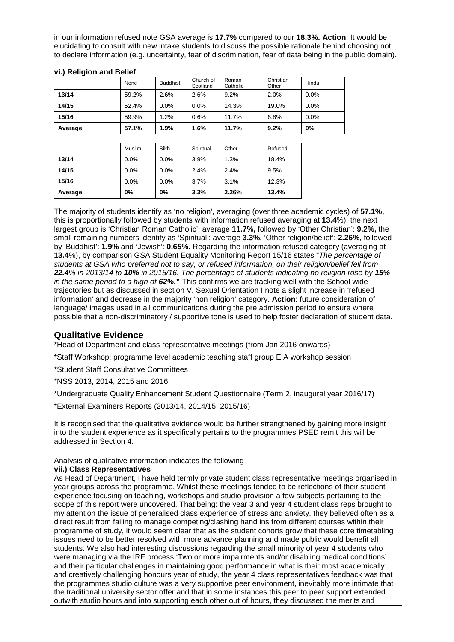in our information refused note GSA average is **17.7%** compared to our **18.3%. Action**: It would be elucidating to consult with new intake students to discuss the possible rationale behind choosing not to declare information (e.g. uncertainty, fear of discrimination, fear of data being in the public domain).

|         | None   | <b>Buddhist</b> | Church of<br>Scotland | Roman<br>Catholic | Christian<br>Other | Hindu |
|---------|--------|-----------------|-----------------------|-------------------|--------------------|-------|
| 13/14   | 59.2%  | 2.6%            | 2.6%                  | 9.2%              | 2.0%               | 0.0%  |
| 14/15   | 52.4%  | 0.0%            | 0.0%                  | 14.3%             | 19.0%              | 0.0%  |
| 15/16   | 59.9%  | 1.2%            | 0.6%                  | 11.7%             | 6.8%               | 0.0%  |
| Average | 57.1%  | 1.9%            | 1.6%                  | 11.7%             | 9.2%               | 0%    |
|         |        |                 |                       |                   |                    |       |
|         | Muslim | Sikh            | Spiritual             | Other             | Refused            |       |
| 13/14   | 0.0%   | $0.0\%$         | 3.9%                  | 1.3%              | 18.4%              |       |
|         |        |                 |                       |                   |                    |       |

**14/15** 0.0% 0.0% 2.4% 2.4% 9.5% **15/16** 0.0% 0.0% 3.7% 3.1% 12.3% **Average 0% 0% 3.3% 2.26% 13.4%**

**vi.) Religion and Belief**

The majority of students identify as 'no religion', averaging (over three academic cycles) of **57.1%,** this is proportionally followed by students with information refused averaging at **13.4**%), the next largest group is 'Christian Roman Catholic': average **11.7%,** followed by 'Other Christian': **9.2%,** the small remaining numbers identify as 'Spiritual': average **3.3%,** 'Other religion/belief': **2.26%,** followed by 'Buddhist': **1.9%** and 'Jewish': **0.65%.** Regarding the information refused category (averaging at **13.4**%), by comparison GSA Student Equality Monitoring Report 15/16 states "*The percentage of students at GSA who preferred not to say, or refused information, on their religion/belief fell from 22.4% in 2013/14 to 10% in 2015/16. The percentage of students indicating no religion rose by 15% in the same period to a high of 62%.***"** This confirms we are tracking well with the School wide trajectories but as discussed in section V. Sexual Orientation I note a slight increase in 'refused information' and decrease in the majority 'non religion' category. **Action**: future consideration of language/ images used in all communications during the pre admission period to ensure where possible that a non-discriminatory / supportive tone is used to help foster declaration of student data.

# **Qualitative Evidence**

\*Head of Department and class representative meetings (from Jan 2016 onwards)

\*Staff Workshop: programme level academic teaching staff group EIA workshop session

- \*Student Staff Consultative Committees
- \*NSS 2013, 2014, 2015 and 2016
- \*Undergraduate Quality Enhancement Student Questionnaire (Term 2, inaugural year 2016/17)

\*External Examiners Reports (2013/14, 2014/15, 2015/16)

It is recognised that the qualitative evidence would be further strengthened by gaining more insight into the student experience as it specifically pertains to the programmes PSED remit this will be addressed in Section 4.

#### Analysis of qualitative information indicates the following

#### **vii.) Class Representatives**

As Head of Department, I have held termly private student class representative meetings organised in year groups across the programme. Whilst these meetings tended to be reflections of their student experience focusing on teaching, workshops and studio provision a few subjects pertaining to the scope of this report were uncovered. That being: the year 3 and year 4 student class reps brought to my attention the issue of generalised class experience of stress and anxiety, they believed often as a direct result from failing to manage competing/clashing hand ins from different courses within their programme of study, it would seem clear that as the student cohorts grow that these core timetabling issues need to be better resolved with more advance planning and made public would benefit all students. We also had interesting discussions regarding the small minority of year 4 students who were managing via the IRF process 'Two or more impairments and/or disabling medical conditions' and their particular challenges in maintaining good performance in what is their most academically and creatively challenging honours year of study, the year 4 class representatives feedback was that the programmes studio culture was a very supportive peer environment, inevitably more intimate that the traditional university sector offer and that in some instances this peer to peer support extended outwith studio hours and into supporting each other out of hours, they discussed the merits and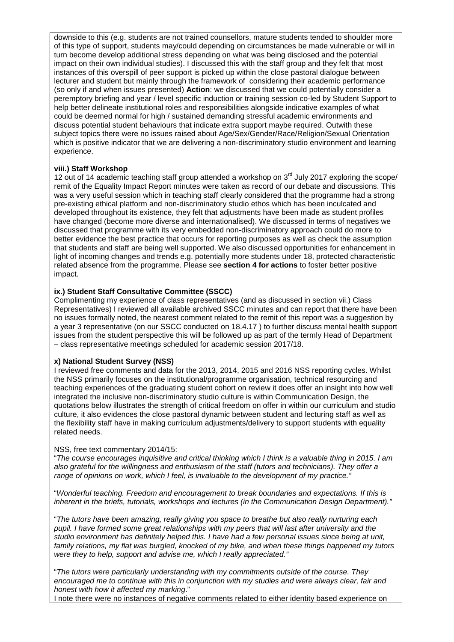downside to this (e.g. students are not trained counsellors, mature students tended to shoulder more of this type of support, students may/could depending on circumstances be made vulnerable or will in turn become develop additional stress depending on what was being disclosed and the potential impact on their own individual studies). I discussed this with the staff group and they felt that most instances of this overspill of peer support is picked up within the close pastoral dialogue between lecturer and student but mainly through the framework of considering their academic performance (so only if and when issues presented) **Action**: we discussed that we could potentially consider a peremptory briefing and year / level specific induction or training session co-led by Student Support to help better delineate institutional roles and responsibilities alongside indicative examples of what could be deemed normal for high / sustained demanding stressful academic environments and discuss potential student behaviours that indicate extra support maybe required. Outwith these subject topics there were no issues raised about Age/Sex/Gender/Race/Religion/Sexual Orientation which is positive indicator that we are delivering a non-discriminatory studio environment and learning experience.

#### **viii.) Staff Workshop**

12 out of 14 academic teaching staff group attended a workshop on  $3<sup>rd</sup>$  July 2017 exploring the scope/ remit of the Equality Impact Report minutes were taken as record of our debate and discussions. This was a very useful session which in teaching staff clearly considered that the programme had a strong pre-existing ethical platform and non-discriminatory studio ethos which has been inculcated and developed throughout its existence, they felt that adjustments have been made as student profiles have changed (become more diverse and internationalised). We discussed in terms of negatives we discussed that programme with its very embedded non-discriminatory approach could do more to better evidence the best practice that occurs for reporting purposes as well as check the assumption that students and staff are being well supported. We also discussed opportunities for enhancement in light of incoming changes and trends e.g. potentially more students under 18, protected characteristic related absence from the programme. Please see **section 4 for actions** to foster better positive impact.

#### **ix.) Student Staff Consultative Committee (SSCC)**

Complimenting my experience of class representatives (and as discussed in section vii.) Class Representatives) I reviewed all available archived SSCC minutes and can report that there have been no issues formally noted, the nearest comment related to the remit of this report was a suggestion by a year 3 representative (on our SSCC conducted on 18.4.17 ) to further discuss mental health support issues from the student perspective this will be followed up as part of the termly Head of Department – class representative meetings scheduled for academic session 2017/18.

#### **x) National Student Survey (NSS)**

I reviewed free comments and data for the 2013, 2014, 2015 and 2016 NSS reporting cycles. Whilst the NSS primarily focuses on the institutional/programme organisation, technical resourcing and teaching experiences of the graduating student cohort on review it does offer an insight into how well integrated the inclusive non-discriminatory studio culture is within Communication Design, the quotations below illustrates the strength of critical freedom on offer in within our curriculum and studio culture, it also evidences the close pastoral dynamic between student and lecturing staff as well as the flexibility staff have in making curriculum adjustments/delivery to support students with equality related needs.

#### NSS, free text commentary 2014/15:

"*The course encourages inquisitive and critical thinking which I think is a valuable thing in 2015. I am also grateful for the willingness and enthusiasm of the staff (tutors and technicians). They offer a range of opinions on work, which I feel, is invaluable to the development of my practice."* 

"*Wonderful teaching. Freedom and encouragement to break boundaries and expectations. If this is inherent in the briefs, tutorials, workshops and lectures (in the Communication Design Department)."*

"*The tutors have been amazing, really giving you space to breathe but also really nurturing each pupil. I have formed some great relationships with my peers that will last after university and the studio environment has definitely helped this. I have had a few personal issues since being at unit, family relations, my flat was burgled, knocked of my bike, and when these things happened my tutors were they to help, support and advise me, which I really appreciated."*

"*The tutors were particularly understanding with my commitments outside of the course. They encouraged me to continue with this in conjunction with my studies and were always clear, fair and honest with how it affected my marking*."

I note there were no instances of negative comments related to either identity based experience on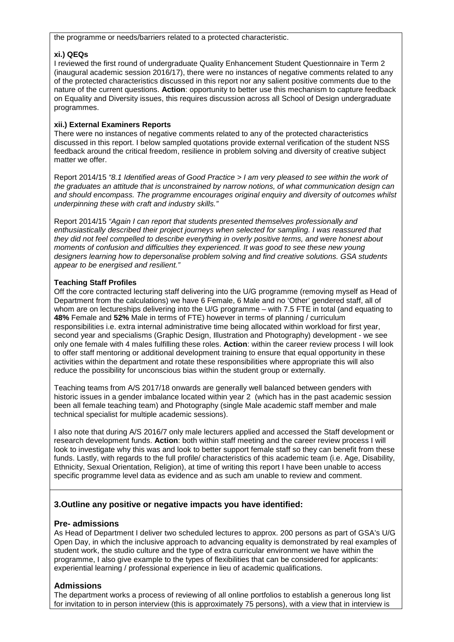the programme or needs/barriers related to a protected characteristic.

#### **xi.) QEQs**

I reviewed the first round of undergraduate Quality Enhancement Student Questionnaire in Term 2 (inaugural academic session 2016/17), there were no instances of negative comments related to any of the protected characteristics discussed in this report nor any salient positive comments due to the nature of the current questions. **Action**: opportunity to better use this mechanism to capture feedback on Equality and Diversity issues, this requires discussion across all School of Design undergraduate programmes.

#### **xii.) External Examiners Reports**

There were no instances of negative comments related to any of the protected characteristics discussed in this report. I below sampled quotations provide external verification of the student NSS feedback around the critical freedom, resilience in problem solving and diversity of creative subject matter we offer.

Report 2014/15 *"8.1 Identified areas of Good Practice > I am very pleased to see within the work of the graduates an attitude that is unconstrained by narrow notions, of what communication design can and should encompass. The programme encourages original enquiry and diversity of outcomes whilst underpinning these with craft and industry skills."*

Report 2014/15 *"Again I can report that students presented themselves professionally and enthusiastically described their project journeys when selected for sampling. I was reassured that they did not feel compelled to describe everything in overly positive terms, and were honest about moments of confusion and difficulties they experienced. It was good to see these new young designers learning how to depersonalise problem solving and find creative solutions. GSA students appear to be energised and resilient."*

## **Teaching Staff Profiles**

Off the core contracted lecturing staff delivering into the U/G programme (removing myself as Head of Department from the calculations) we have 6 Female, 6 Male and no 'Other' gendered staff, all of whom are on lectureships delivering into the U/G programme – with 7.5 FTE in total (and equating to **48%** Female and **52%** Male in terms of FTE) however in terms of planning / curriculum responsibilities i.e. extra internal administrative time being allocated within workload for first year, second year and specialisms (Graphic Design, Illustration and Photography) development - we see only one female with 4 males fulfilling these roles. **Action**: within the career review process I will look to offer staff mentoring or additional development training to ensure that equal opportunity in these activities within the department and rotate these responsibilities where appropriate this will also reduce the possibility for unconscious bias within the student group or externally.

Teaching teams from A/S 2017/18 onwards are generally well balanced between genders with historic issues in a gender imbalance located within year 2 (which has in the past academic session been all female teaching team) and Photography (single Male academic staff member and male technical specialist for multiple academic sessions).

I also note that during A/S 2016/7 only male lecturers applied and accessed the Staff development or research development funds. **Action**: both within staff meeting and the career review process I will look to investigate why this was and look to better support female staff so they can benefit from these funds. Lastly, with regards to the full profile/ characteristics of this academic team (i.e. Age, Disability, Ethnicity, Sexual Orientation, Religion), at time of writing this report I have been unable to access specific programme level data as evidence and as such am unable to review and comment.

## **3.Outline any positive or negative impacts you have identified:**

## **Pre- admissions**

As Head of Department I deliver two scheduled lectures to approx. 200 persons as part of GSA's U/G Open Day, in which the inclusive approach to advancing equality is demonstrated by real examples of student work, the studio culture and the type of extra curricular environment we have within the programme, I also give example to the types of flexibilities that can be considered for applicants: experiential learning / professional experience in lieu of academic qualifications.

## **Admissions**

The department works a process of reviewing of all online portfolios to establish a generous long list for invitation to in person interview (this is approximately 75 persons), with a view that in interview is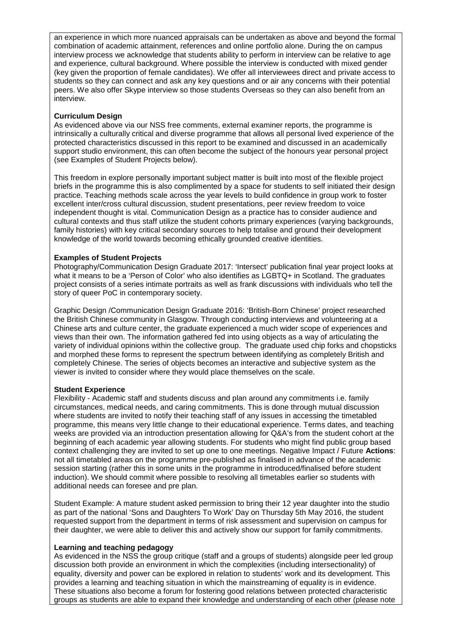an experience in which more nuanced appraisals can be undertaken as above and beyond the formal combination of academic attainment, references and online portfolio alone. During the on campus interview process we acknowledge that students ability to perform in interview can be relative to age and experience, cultural background. Where possible the interview is conducted with mixed gender (key given the proportion of female candidates). We offer all interviewees direct and private access to students so they can connect and ask any key questions and or air any concerns with their potential peers. We also offer Skype interview so those students Overseas so they can also benefit from an interview.

#### **Curriculum Design**

As evidenced above via our NSS free comments, external examiner reports, the programme is intrinsically a culturally critical and diverse programme that allows all personal lived experience of the protected characteristics discussed in this report to be examined and discussed in an academically support studio environment, this can often become the subject of the honours year personal project (see Examples of Student Projects below).

This freedom in explore personally important subject matter is built into most of the flexible project briefs in the programme this is also complimented by a space for students to self initiated their design practice. Teaching methods scale across the year levels to build confidence in group work to foster excellent inter/cross cultural discussion, student presentations, peer review freedom to voice independent thought is vital. Communication Design as a practice has to consider audience and cultural contexts and thus staff utilize the student cohorts primary experiences (varying backgrounds, family histories) with key critical secondary sources to help totalise and ground their development knowledge of the world towards becoming ethically grounded creative identities.

#### **Examples of Student Projects**

Photography/Communication Design Graduate 2017: 'Intersect' publication final year project looks at what it means to be a 'Person of Color' who also identifies as LGBTQ+ in Scotland. The graduates project consists of a series intimate portraits as well as frank discussions with individuals who tell the story of queer PoC in contemporary society.

Graphic Design /Communication Design Graduate 2016: 'British-Born Chinese' project researched the British Chinese community in Glasgow. Through conducting interviews and volunteering at a Chinese arts and culture center, the graduate experienced a much wider scope of experiences and views than their own. The information gathered fed into using objects as a way of articulating the variety of individual opinions within the collective group. The graduate used chip forks and chopsticks and morphed these forms to represent the spectrum between identifying as completely British and completely Chinese. The series of objects becomes an interactive and subjective system as the viewer is invited to consider where they would place themselves on the scale.

#### **Student Experience**

Flexibility - Academic staff and students discuss and plan around any commitments i.e. family circumstances, medical needs, and caring commitments. This is done through mutual discussion where students are invited to notify their teaching staff of any issues in accessing the timetabled programme, this means very little change to their educational experience. Terms dates, and teaching weeks are provided via an introduction presentation allowing for Q&A's from the student cohort at the beginning of each academic year allowing students. For students who might find public group based context challenging they are invited to set up one to one meetings. Negative Impact / Future **Actions**: not all timetabled areas on the programme pre-published as finalised in advance of the academic session starting (rather this in some units in the programme in introduced/finalised before student induction). We should commit where possible to resolving all timetables earlier so students with additional needs can foresee and pre plan.

Student Example: A mature student asked permission to bring their 12 year daughter into the studio as part of the national 'Sons and Daughters To Work' Day on Thursday 5th May 2016, the student requested support from the department in terms of risk assessment and supervision on campus for their daughter, we were able to deliver this and actively show our support for family commitments.

#### **Learning and teaching pedagogy**

As evidenced in the NSS the group critique (staff and a groups of students) alongside peer led group discussion both provide an environment in which the complexities (including intersectionality) of equality, diversity and power can be explored in relation to students' work and its development. This provides a learning and teaching situation in which the mainstreaming of equality is in evidence. These situations also become a forum for fostering good relations between protected characteristic groups as students are able to expand their knowledge and understanding of each other (please note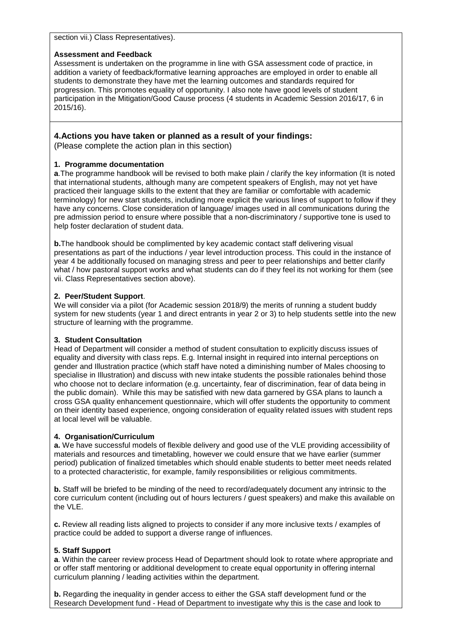section vii.) Class Representatives).

#### **Assessment and Feedback**

Assessment is undertaken on the programme in line with GSA assessment code of practice, in addition a variety of feedback/formative learning approaches are employed in order to enable all students to demonstrate they have met the learning outcomes and standards required for progression. This promotes equality of opportunity. I also note have good levels of student participation in the Mitigation/Good Cause process (4 students in Academic Session 2016/17, 6 in 2015/16).

## **4.Actions you have taken or planned as a result of your findings:**

(Please complete the action plan in this section)

#### **1. Programme documentation**

**a**.The programme handbook will be revised to both make plain / clarify the key information (It is noted that international students, although many are competent speakers of English, may not yet have practiced their language skills to the extent that they are familiar or comfortable with academic terminology) for new start students, including more explicit the various lines of support to follow if they have any concerns. Close consideration of language/ images used in all communications during the pre admission period to ensure where possible that a non-discriminatory / supportive tone is used to help foster declaration of student data.

**b.** The handbook should be complimented by key academic contact staff delivering visual presentations as part of the inductions / year level introduction process. This could in the instance of year 4 be additionally focused on managing stress and peer to peer relationships and better clarify what / how pastoral support works and what students can do if they feel its not working for them (see vii. Class Representatives section above).

#### **2. Peer/Student Support**.

We will consider via a pilot (for Academic session 2018/9) the merits of running a student buddy system for new students (year 1 and direct entrants in year 2 or 3) to help students settle into the new structure of learning with the programme.

#### **3. Student Consultation**

Head of Department will consider a method of student consultation to explicitly discuss issues of equality and diversity with class reps. E.g. Internal insight in required into internal perceptions on gender and Illustration practice (which staff have noted a diminishing number of Males choosing to specialise in Illustration) and discuss with new intake students the possible rationales behind those who choose not to declare information (e.g. uncertainty, fear of discrimination, fear of data being in the public domain). While this may be satisfied with new data garnered by GSA plans to launch a cross GSA quality enhancement questionnaire, which will offer students the opportunity to comment on their identity based experience, ongoing consideration of equality related issues with student reps at local level will be valuable.

#### **4. Organisation/Curriculum**

**a.** We have successful models of flexible delivery and good use of the VLE providing accessibility of materials and resources and timetabling, however we could ensure that we have earlier (summer period) publication of finalized timetables which should enable students to better meet needs related to a protected characteristic, for example, family responsibilities or religious commitments.

**b.** Staff will be briefed to be minding of the need to record/adequately document any intrinsic to the core curriculum content (including out of hours lecturers / guest speakers) and make this available on the VLE.

**c.** Review all reading lists aligned to projects to consider if any more inclusive texts / examples of practice could be added to support a diverse range of influences.

#### **5. Staff Support**

**a**. Within the career review process Head of Department should look to rotate where appropriate and or offer staff mentoring or additional development to create equal opportunity in offering internal curriculum planning / leading activities within the department.

**b.** Regarding the inequality in gender access to either the GSA staff development fund or the Research Development fund - Head of Department to investigate why this is the case and look to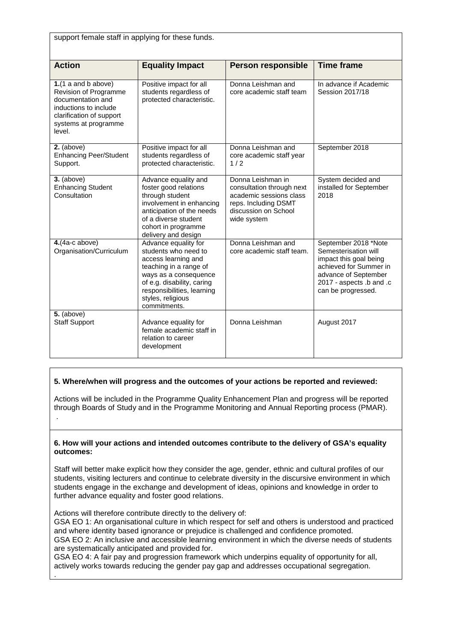| support female staff in applying for these funds.                                                                                                          |                                                                                                                                                                                                                         |                                                                                                                                          |                                                                                                                                                                            |
|------------------------------------------------------------------------------------------------------------------------------------------------------------|-------------------------------------------------------------------------------------------------------------------------------------------------------------------------------------------------------------------------|------------------------------------------------------------------------------------------------------------------------------------------|----------------------------------------------------------------------------------------------------------------------------------------------------------------------------|
| <b>Action</b>                                                                                                                                              | <b>Equality Impact</b>                                                                                                                                                                                                  | <b>Person responsible</b>                                                                                                                | <b>Time frame</b>                                                                                                                                                          |
| $1.(1$ a and b above)<br>Revision of Programme<br>documentation and<br>inductions to include<br>clarification of support<br>systems at programme<br>level. | Positive impact for all<br>students regardless of<br>protected characteristic.                                                                                                                                          | Donna Leishman and<br>core academic staff team                                                                                           | In advance if Academic<br>Session 2017/18                                                                                                                                  |
| $\overline{2.}$ (above)<br><b>Enhancing Peer/Student</b><br>Support.                                                                                       | Positive impact for all<br>students regardless of<br>protected characteristic.                                                                                                                                          | Donna Leishman and<br>core academic staff year<br>1/2                                                                                    | September 2018                                                                                                                                                             |
| $3.$ (above)<br><b>Enhancing Student</b><br>Consultation                                                                                                   | Advance equality and<br>foster good relations<br>through student<br>involvement in enhancing<br>anticipation of the needs<br>of a diverse student<br>cohort in programme<br>delivery and design                         | Donna Leishman in<br>consultation through next<br>academic sessions class<br>reps. Including DSMT<br>discussion on School<br>wide system | System decided and<br>installed for September<br>2018                                                                                                                      |
| $4.(4a-c above)$<br>Organisation/Curriculum                                                                                                                | Advance equality for<br>students who need to<br>access learning and<br>teaching in a range of<br>ways as a consequence<br>of e.g. disability, caring<br>responsibilities, learning<br>styles, religious<br>commitments. | Donna Leishman and<br>core academic staff team.                                                                                          | September 2018 *Note<br>Semesterisation will<br>impact this goal being<br>achieved for Summer in<br>advance of September<br>2017 - aspects .b and .c<br>can be progressed. |
| $5.$ (above)<br><b>Staff Support</b>                                                                                                                       | Advance equality for<br>female academic staff in<br>relation to career<br>development                                                                                                                                   | Donna Leishman                                                                                                                           | August 2017                                                                                                                                                                |

# **5. Where/when will progress and the outcomes of your actions be reported and reviewed:**

Actions will be included in the Programme Quality Enhancement Plan and progress will be reported through Boards of Study and in the Programme Monitoring and Annual Reporting process (PMAR). .

## **6. How will your actions and intended outcomes contribute to the delivery of GSA's equality outcomes:**

Staff will better make explicit how they consider the age, gender, ethnic and cultural profiles of our students, visiting lecturers and continue to celebrate diversity in the discursive environment in which students engage in the exchange and development of ideas, opinions and knowledge in order to further advance equality and foster good relations.

Actions will therefore contribute directly to the delivery of:

GSA EO 1: An organisational culture in which respect for self and others is understood and practiced and where identity based ignorance or prejudice is challenged and confidence promoted. GSA EO 2: An inclusive and accessible learning environment in which the diverse needs of students are systematically anticipated and provided for.

GSA EO 4: A fair pay and progression framework which underpins equality of opportunity for all, actively works towards reducing the gender pay gap and addresses occupational segregation. .